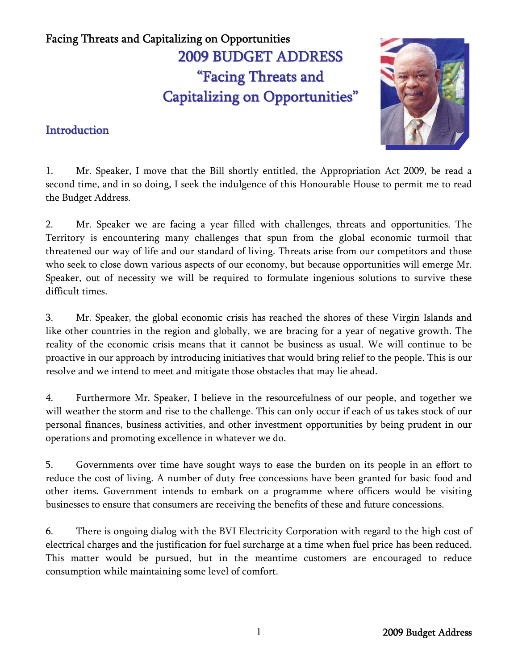# Facing Threats and Capitalizing on Opportunities 2 2009 BUDGET ADDRESS "Facing Threats and Capitalizing on Opportunities "

### **Introduction**



1. Mr. Speaker, I move that the Bill shortly entitled, the Appropriation Act 2009, be read a second time, and in so doing, I seek the indulgence of this Honourable House to permit me to read the Budget Address.

2. Mr. Speaker we are facing a year filled with challenges, threats and opportunities. The Territory is encountering many challenges that spun from the global economic turmoil that threatened our way of life and our standard of living. Threats arise from our competitors and those who seek to close down various aspects of our economy, but because opportunities will emerge Mr. Speaker, out of necessity we will be required to formulate ingenious solutions to survive these difficult times.

3. Mr. Speaker, the global economic crisis has reached the shores of these Virgin Islands and like other countries in the region and globally, we are bracing for a year of negative growth. The reality of the economic crisis means that it cannot be business as usual. We will continue to be proactive in our approach by introducing initiatives that would bring relief to the people. This is our resolve and we intend to meet and mitigate those obstacles that may lie ahead.

4. Furthermore Mr. Speaker, I believe in the resourcefulness of our people, and together we will weather the storm and rise to the challenge. This can only occur if each of us takes stock of our personal finances, business activities, and other investment opportunities by being prudent in our operations and promoting excellence in whatever we do.

5. Governments over time have sought ways to ease the burden on its people in an effort to reduce the cost of living. A number of duty free concessions have been granted for basic food and other items. Government intends to embark on a programme where officers would be visiting businesses to ensure that consumers are receiving the benefits of these and future concessions.

6. There is ongoing dialog with the BVI Electricity Corporation with regard to the high cost of electrical charges and the justification for fuel surcharge at a time when fuel price has been reduced. This matter would be pursued, but in the meantime customers are encouraged to reduce consumption while maintaining some level of comfort.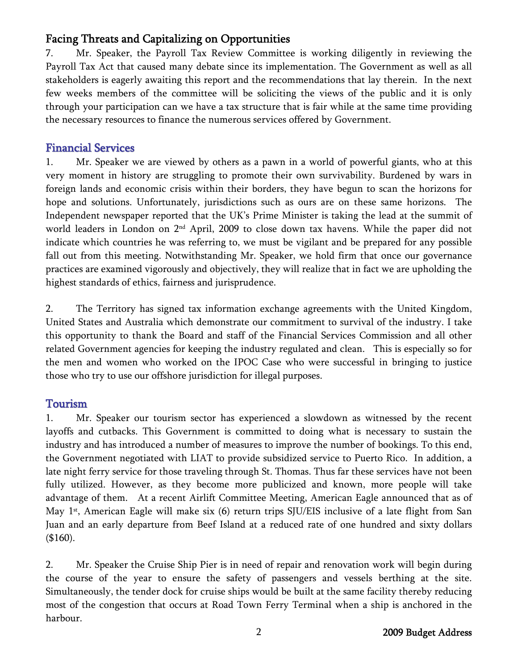7. Mr. Speaker, the Payroll Tax Review Committee is working diligently in reviewing the Payroll Tax Act that caused many debate since its implementation. The Government as well as all stakeholders is eagerly awaiting this report and the recommendations that lay therein. In the next few weeks members of the committee will be soliciting the views of the public and it is only through your participation can we have a tax structure that is fair while at the same time providing the necessary resources to finance the numerous services offered by Government.

### Financial Services

1. Mr. Speaker we are viewed by others as a pawn in a world of powerful giants, who at this very moment in history are struggling to promote their own survivability. Burdened by wars in foreign lands and economic crisis within their borders, they have begun to scan the horizons for hope and solutions. Unfortunately, jurisdictions such as ours are on these same horizons. The Independent newspaper reported that the UK's Prime Minister is taking the lead at the summit of world leaders in London on 2nd April, 2009 to close down tax havens. While the paper did not indicate which countries he was referring to, we must be vigilant and be prepared for any possible fall out from this meeting. Notwithstanding Mr. Speaker, we hold firm that once our governance practices are examined vigorously and objectively, they will realize that in fact we are upholding the highest standards of ethics, fairness and jurisprudence.

2. The Territory has signed tax information exchange agreements with the United Kingdom, United States and Australia which demonstrate our commitment to survival of the industry. I take this opportunity to thank the Board and staff of the Financial Services Commission and all other related Government agencies for keeping the industry regulated and clean. This is especially so for the men and women who worked on the IPOC Case who were successful in bringing to justice those who try to use our offshore jurisdiction for illegal purposes.

#### Tourism

1. Mr. Speaker our tourism sector has experienced a slowdown as witnessed by the recent layoffs and cutbacks. This Government is committed to doing what is necessary to sustain the industry and has introduced a number of measures to improve the number of bookings. To this end, the Government negotiated with LIAT to provide subsidized service to Puerto Rico. In addition, a late night ferry service for those traveling through St. Thomas. Thus far these services have not been fully utilized. However, as they become more publicized and known, more people will take advantage of them. At a recent Airlift Committee Meeting, American Eagle announced that as of May 1<sup>st</sup>, American Eagle will make six (6) return trips SJU/EIS inclusive of a late flight from San Juan and an early departure from Beef Island at a reduced rate of one hundred and sixty dollars (\$160).

2. Mr. Speaker the Cruise Ship Pier is in need of repair and renovation work will begin during the course of the year to ensure the safety of passengers and vessels berthing at the site. Simultaneously, the tender dock for cruise ships would be built at the same facility thereby reducing most of the congestion that occurs at Road Town Ferry Terminal when a ship is anchored in the harbour.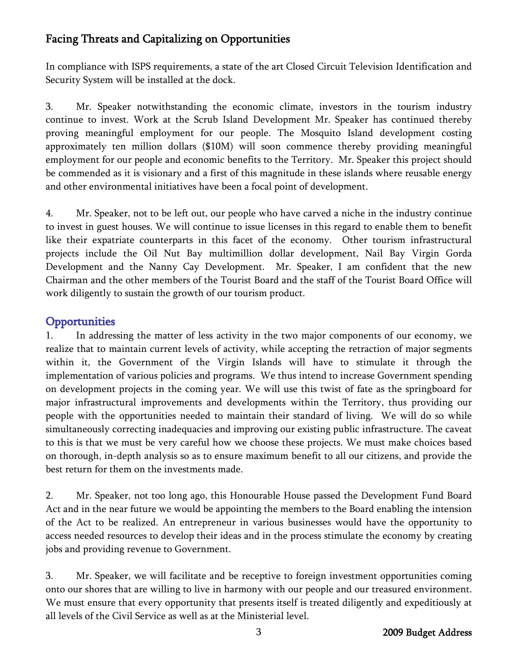In compliance with ISPS requirements, a state of the art Closed Circuit Television Identification and Security System will be installed at the dock.

3. Mr. Speaker notwithstanding the economic climate, investors in the tourism industry continue to invest. Work at the Scrub Island Development Mr. Speaker has continued thereby proving meaningful employment for our people. The Mosquito Island development costing approximately ten million dollars (\$10M) will soon commence thereby providing meaningful employment for our people and economic benefits to the Territory. Mr. Speaker this project should be commended as it is visionary and a first of this magnitude in these islands where reusable energy and other environmental initiatives have been a focal point of development.

4. Mr. Speaker, not to be left out, our people who have carved a niche in the industry continue to invest in guest houses. We will continue to issue licenses in this regard to enable them to benefit like their expatriate counterparts in this facet of the economy. Other tourism infrastructural projects include the Oil Nut Bay multimillion dollar development, Nail Bay Virgin Gorda Development and the Nanny Cay Development. Mr. Speaker, I am confident that the new Chairman and the other members of the Tourist Board and the staff of the Tourist Board Office will work diligently to sustain the growth of our tourism product.

### **Opportunities**

1. In addressing the matter of less activity in the two major components of our economy, we realize that to maintain current levels of activity, while accepting the retraction of major segments within it, the Government of the Virgin Islands will have to stimulate it through the implementation of various policies and programs. We thus intend to increase Government spending on development projects in the coming year. We will use this twist of fate as the springboard for major infrastructural improvements and developments within the Territory, thus providing our people with the opportunities needed to maintain their standard of living. We will do so while simultaneously correcting inadequacies and improving our existing public infrastructure. The caveat to this is that we must be very careful how we choose these projects. We must make choices based on thorough, in-depth analysis so as to ensure maximum benefit to all our citizens, and provide the best return for them on the investments made.

2. Mr. Speaker, not too long ago, this Honourable House passed the Development Fund Board Act and in the near future we would be appointing the members to the Board enabling the intension of the Act to be realized. An entrepreneur in various businesses would have the opportunity to access needed resources to develop their ideas and in the process stimulate the economy by creating jobs and providing revenue to Government.

3. Mr. Speaker, we will facilitate and be receptive to foreign investment opportunities coming onto our shores that are willing to live in harmony with our people and our treasured environment. We must ensure that every opportunity that presents itself is treated diligently and expeditiously at all levels of the Civil Service as well as at the Ministerial level.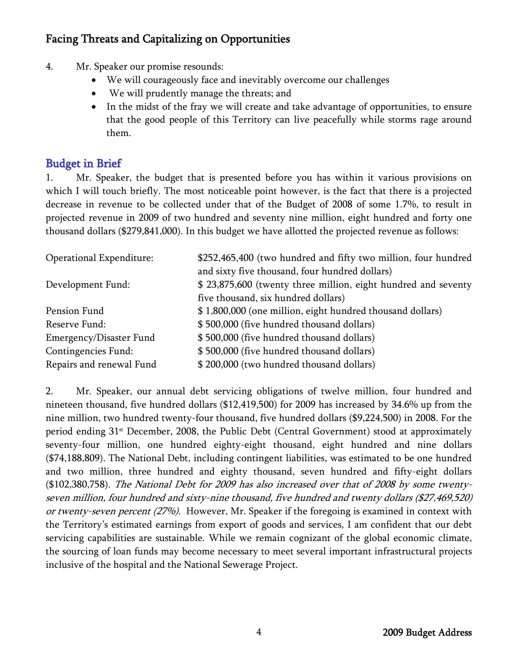- 4. Mr. Speaker our promise resounds:
	- We will courageously face and inevitably overcome our challenges
	- We will prudently manage the threats; and
	- In the midst of the fray we will create and take advantage of opportunities, to ensure that the good people of this Territory can live peacefully while storms rage around them.

### Budget in Brief

1. Mr. Speaker, the budget that is presented before you has within it various provisions on which I will touch briefly. The most noticeable point however, is the fact that there is a projected decrease in revenue to be collected under that of the Budget of 2008 of some 1.7%, to result in projected revenue in 2009 of two hundred and seventy nine million, eight hundred and forty one thousand dollars (\$279,841,000). In this budget we have allotted the projected revenue as follows:

| Operational Expenditure: | \$252,465,400 (two hundred and fifty two million, four hundred |
|--------------------------|----------------------------------------------------------------|
|                          | and sixty five thousand, four hundred dollars)                 |
| Development Fund:        | \$ 23,875,600 (twenty three million, eight hundred and seventy |
|                          | five thousand, six hundred dollars)                            |
| Pension Fund             | \$1,800,000 (one million, eight hundred thousand dollars)      |
| Reserve Fund:            | \$500,000 (five hundred thousand dollars)                      |
| Emergency/Disaster Fund  | \$500,000 (five hundred thousand dollars)                      |
| Contingencies Fund:      | \$500,000 (five hundred thousand dollars)                      |
| Repairs and renewal Fund | \$200,000 (two hundred thousand dollars)                       |

2. Mr. Speaker, our annual debt servicing obligations of twelve million, four hundred and nineteen thousand, five hundred dollars (\$12,419,500) for 2009 has increased by 34.6% up from the nine million, two hundred twenty-four thousand, five hundred dollars (\$9,224,500) in 2008. For the period ending 31<sup>st</sup> December, 2008, the Public Debt (Central Government) stood at approximately seventy-four million, one hundred eighty-eight thousand, eight hundred and nine dollars (\$74,188,809). The National Debt, including contingent liabilities, was estimated to be one hundred and two million, three hundred and eighty thousand, seven hundred and fifty-eight dollars (\$102,380,758). The National Debt for 2009 has also increased over that of 2008 by some twentyseven million, four hundred and sixty-nine thousand, five hundred and twenty dollars (\$27,469,520) or twenty-seven percent (27%). However, Mr. Speaker if the foregoing is examined in context with the Territory's estimated earnings from export of goods and services, I am confident that our debt servicing capabilities are sustainable. While we remain cognizant of the global economic climate, the sourcing of loan funds may become necessary to meet several important infrastructural projects inclusive of the hospital and the National Sewerage Project.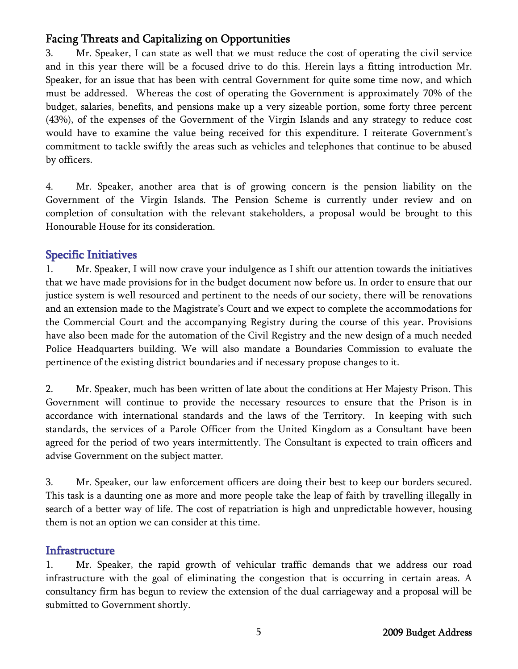3. Mr. Speaker, I can state as well that we must reduce the cost of operating the civil service and in this year there will be a focused drive to do this. Herein lays a fitting introduction Mr. Speaker, for an issue that has been with central Government for quite some time now, and which must be addressed. Whereas the cost of operating the Government is approximately 70% of the budget, salaries, benefits, and pensions make up a very sizeable portion, some forty three percent (43%), of the expenses of the Government of the Virgin Islands and any strategy to reduce cost would have to examine the value being received for this expenditure. I reiterate Government's commitment to tackle swiftly the areas such as vehicles and telephones that continue to be abused by officers.

4. Mr. Speaker, another area that is of growing concern is the pension liability on the Government of the Virgin Islands. The Pension Scheme is currently under review and on completion of consultation with the relevant stakeholders, a proposal would be brought to this Honourable House for its consideration.

### Specific Initiatives

1. Mr. Speaker, I will now crave your indulgence as I shift our attention towards the initiatives that we have made provisions for in the budget document now before us. In order to ensure that our justice system is well resourced and pertinent to the needs of our society, there will be renovations and an extension made to the Magistrate's Court and we expect to complete the accommodations for the Commercial Court and the accompanying Registry during the course of this year. Provisions have also been made for the automation of the Civil Registry and the new design of a much needed Police Headquarters building. We will also mandate a Boundaries Commission to evaluate the pertinence of the existing district boundaries and if necessary propose changes to it.

2. Mr. Speaker, much has been written of late about the conditions at Her Majesty Prison. This Government will continue to provide the necessary resources to ensure that the Prison is in accordance with international standards and the laws of the Territory. In keeping with such standards, the services of a Parole Officer from the United Kingdom as a Consultant have been agreed for the period of two years intermittently. The Consultant is expected to train officers and advise Government on the subject matter.

3. Mr. Speaker, our law enforcement officers are doing their best to keep our borders secured. This task is a daunting one as more and more people take the leap of faith by travelling illegally in search of a better way of life. The cost of repatriation is high and unpredictable however, housing them is not an option we can consider at this time.

#### **Infrastructure**

1. Mr. Speaker, the rapid growth of vehicular traffic demands that we address our road infrastructure with the goal of eliminating the congestion that is occurring in certain areas. A consultancy firm has begun to review the extension of the dual carriageway and a proposal will be submitted to Government shortly.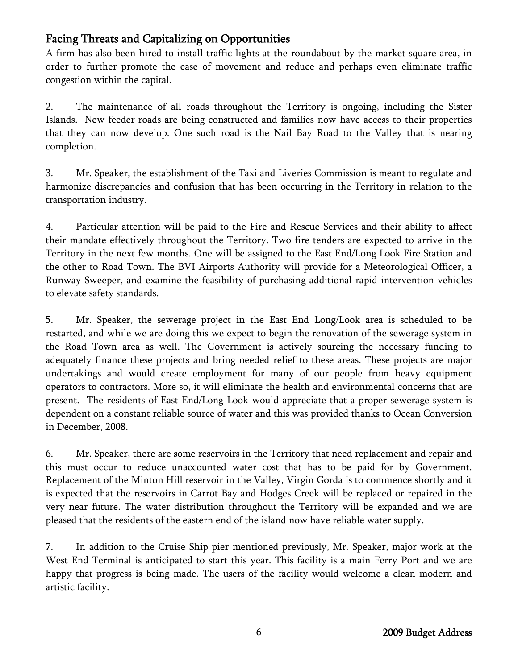A firm has also been hired to install traffic lights at the roundabout by the market square area, in order to further promote the ease of movement and reduce and perhaps even eliminate traffic congestion within the capital.

2. The maintenance of all roads throughout the Territory is ongoing, including the Sister Islands. New feeder roads are being constructed and families now have access to their properties that they can now develop. One such road is the Nail Bay Road to the Valley that is nearing completion.

3. Mr. Speaker, the establishment of the Taxi and Liveries Commission is meant to regulate and harmonize discrepancies and confusion that has been occurring in the Territory in relation to the transportation industry.

4. Particular attention will be paid to the Fire and Rescue Services and their ability to affect their mandate effectively throughout the Territory. Two fire tenders are expected to arrive in the Territory in the next few months. One will be assigned to the East End/Long Look Fire Station and the other to Road Town. The BVI Airports Authority will provide for a Meteorological Officer, a Runway Sweeper, and examine the feasibility of purchasing additional rapid intervention vehicles to elevate safety standards.

5. Mr. Speaker, the sewerage project in the East End Long/Look area is scheduled to be restarted, and while we are doing this we expect to begin the renovation of the sewerage system in the Road Town area as well. The Government is actively sourcing the necessary funding to adequately finance these projects and bring needed relief to these areas. These projects are major undertakings and would create employment for many of our people from heavy equipment operators to contractors. More so, it will eliminate the health and environmental concerns that are present. The residents of East End/Long Look would appreciate that a proper sewerage system is dependent on a constant reliable source of water and this was provided thanks to Ocean Conversion in December, 2008.

6. Mr. Speaker, there are some reservoirs in the Territory that need replacement and repair and this must occur to reduce unaccounted water cost that has to be paid for by Government. Replacement of the Minton Hill reservoir in the Valley, Virgin Gorda is to commence shortly and it is expected that the reservoirs in Carrot Bay and Hodges Creek will be replaced or repaired in the very near future. The water distribution throughout the Territory will be expanded and we are pleased that the residents of the eastern end of the island now have reliable water supply.

7. In addition to the Cruise Ship pier mentioned previously, Mr. Speaker, major work at the West End Terminal is anticipated to start this year. This facility is a main Ferry Port and we are happy that progress is being made. The users of the facility would welcome a clean modern and artistic facility.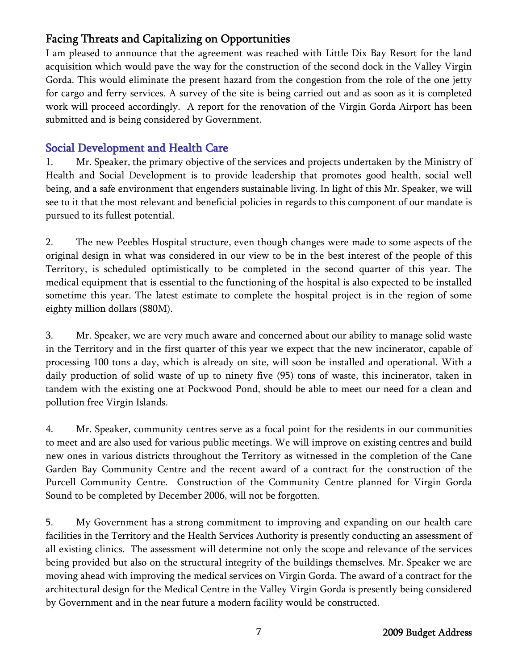I am pleased to announce that the agreement was reached with Little Dix Bay Resort for the land acquisition which would pave the way for the construction of the second dock in the Valley Virgin Gorda. This would eliminate the present hazard from the congestion from the role of the one jetty for cargo and ferry services. A survey of the site is being carried out and as soon as it is completed work will proceed accordingly. A report for the renovation of the Virgin Gorda Airport has been submitted and is being considered by Government.

### Social Development and Health Care

1. Mr. Speaker, the primary objective of the services and projects undertaken by the Ministry of Health and Social Development is to provide leadership that promotes good health, social well being, and a safe environment that engenders sustainable living. In light of this Mr. Speaker, we will see to it that the most relevant and beneficial policies in regards to this component of our mandate is pursued to its fullest potential.

2. The new Peebles Hospital structure, even though changes were made to some aspects of the original design in what was considered in our view to be in the best interest of the people of this Territory, is scheduled optimistically to be completed in the second quarter of this year. The medical equipment that is essential to the functioning of the hospital is also expected to be installed sometime this year. The latest estimate to complete the hospital project is in the region of some eighty million dollars (\$80M).

3. Mr. Speaker, we are very much aware and concerned about our ability to manage solid waste in the Territory and in the first quarter of this year we expect that the new incinerator, capable of processing 100 tons a day, which is already on site, will soon be installed and operational. With a daily production of solid waste of up to ninety five (95) tons of waste, this incinerator, taken in tandem with the existing one at Pockwood Pond, should be able to meet our need for a clean and pollution free Virgin Islands.

4. Mr. Speaker, community centres serve as a focal point for the residents in our communities to meet and are also used for various public meetings. We will improve on existing centres and build new ones in various districts throughout the Territory as witnessed in the completion of the Cane Garden Bay Community Centre and the recent award of a contract for the construction of the Purcell Community Centre. Construction of the Community Centre planned for Virgin Gorda Sound to be completed by December 2006, will not be forgotten.

5. My Government has a strong commitment to improving and expanding on our health care facilities in the Territory and the Health Services Authority is presently conducting an assessment of all existing clinics. The assessment will determine not only the scope and relevance of the services being provided but also on the structural integrity of the buildings themselves. Mr. Speaker we are moving ahead with improving the medical services on Virgin Gorda. The award of a contract for the architectural design for the Medical Centre in the Valley Virgin Gorda is presently being considered by Government and in the near future a modern facility would be constructed.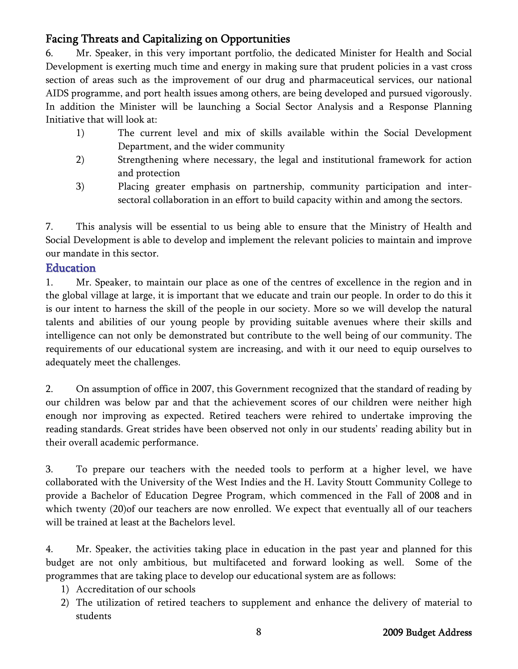6. Mr. Speaker, in this very important portfolio, the dedicated Minister for Health and Social Development is exerting much time and energy in making sure that prudent policies in a vast cross section of areas such as the improvement of our drug and pharmaceutical services, our national AIDS programme, and port health issues among others, are being developed and pursued vigorously. In addition the Minister will be launching a Social Sector Analysis and a Response Planning Initiative that will look at:

- 1) The current level and mix of skills available within the Social Development Department, and the wider community
- 2) Strengthening where necessary, the legal and institutional framework for action and protection
- 3) Placing greater emphasis on partnership, community participation and intersectoral collaboration in an effort to build capacity within and among the sectors.

7. This analysis will be essential to us being able to ensure that the Ministry of Health and Social Development is able to develop and implement the relevant policies to maintain and improve our mandate in this sector.

### **Education**

1. Mr. Speaker, to maintain our place as one of the centres of excellence in the region and in the global village at large, it is important that we educate and train our people. In order to do this it is our intent to harness the skill of the people in our society. More so we will develop the natural talents and abilities of our young people by providing suitable avenues where their skills and intelligence can not only be demonstrated but contribute to the well being of our community. The requirements of our educational system are increasing, and with it our need to equip ourselves to adequately meet the challenges.

2. On assumption of office in 2007, this Government recognized that the standard of reading by our children was below par and that the achievement scores of our children were neither high enough nor improving as expected. Retired teachers were rehired to undertake improving the reading standards. Great strides have been observed not only in our students' reading ability but in their overall academic performance.

3. To prepare our teachers with the needed tools to perform at a higher level, we have collaborated with the University of the West Indies and the H. Lavity Stoutt Community College to provide a Bachelor of Education Degree Program, which commenced in the Fall of 2008 and in which twenty (20)of our teachers are now enrolled. We expect that eventually all of our teachers will be trained at least at the Bachelors level.

4. Mr. Speaker, the activities taking place in education in the past year and planned for this budget are not only ambitious, but multifaceted and forward looking as well. Some of the programmes that are taking place to develop our educational system are as follows:

- 1) Accreditation of our schools
- 2) The utilization of retired teachers to supplement and enhance the delivery of material to students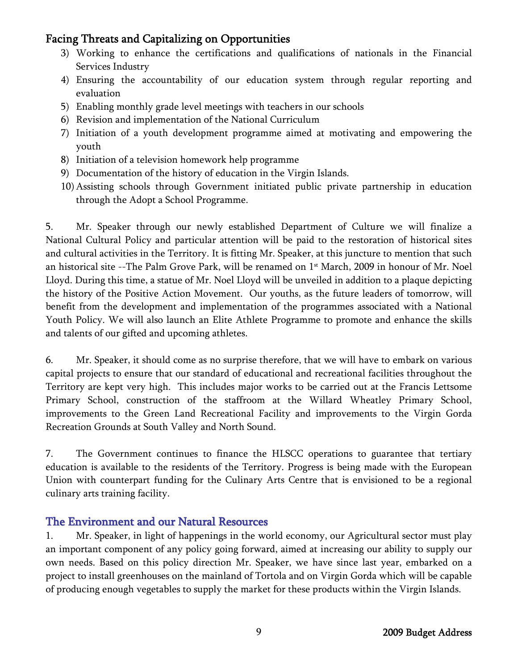- 3) Working to enhance the certifications and qualifications of nationals in the Financial Services Industry
- 4) Ensuring the accountability of our education system through regular reporting and evaluation
- 5) Enabling monthly grade level meetings with teachers in our schools
- 6) Revision and implementation of the National Curriculum
- 7) Initiation of a youth development programme aimed at motivating and empowering the youth
- 8) Initiation of a television homework help programme
- 9) Documentation of the history of education in the Virgin Islands.
- 10) Assisting schools through Government initiated public private partnership in education through the Adopt a School Programme.

5. Mr. Speaker through our newly established Department of Culture we will finalize a National Cultural Policy and particular attention will be paid to the restoration of historical sites and cultural activities in the Territory. It is fitting Mr. Speaker, at this juncture to mention that such an historical site --The Palm Grove Park, will be renamed on 1<sup>st</sup> March, 2009 in honour of Mr. Noel Lloyd. During this time, a statue of Mr. Noel Lloyd will be unveiled in addition to a plaque depicting the history of the Positive Action Movement. Our youths, as the future leaders of tomorrow, will benefit from the development and implementation of the programmes associated with a National Youth Policy. We will also launch an Elite Athlete Programme to promote and enhance the skills and talents of our gifted and upcoming athletes.

6. Mr. Speaker, it should come as no surprise therefore, that we will have to embark on various capital projects to ensure that our standard of educational and recreational facilities throughout the Territory are kept very high. This includes major works to be carried out at the Francis Lettsome Primary School, construction of the staffroom at the Willard Wheatley Primary School, improvements to the Green Land Recreational Facility and improvements to the Virgin Gorda Recreation Grounds at South Valley and North Sound.

7. The Government continues to finance the HLSCC operations to guarantee that tertiary education is available to the residents of the Territory. Progress is being made with the European Union with counterpart funding for the Culinary Arts Centre that is envisioned to be a regional culinary arts training facility.

### The Environment and our Natural Resources

1. Mr. Speaker, in light of happenings in the world economy, our Agricultural sector must play an important component of any policy going forward, aimed at increasing our ability to supply our own needs. Based on this policy direction Mr. Speaker, we have since last year, embarked on a project to install greenhouses on the mainland of Tortola and on Virgin Gorda which will be capable of producing enough vegetables to supply the market for these products within the Virgin Islands.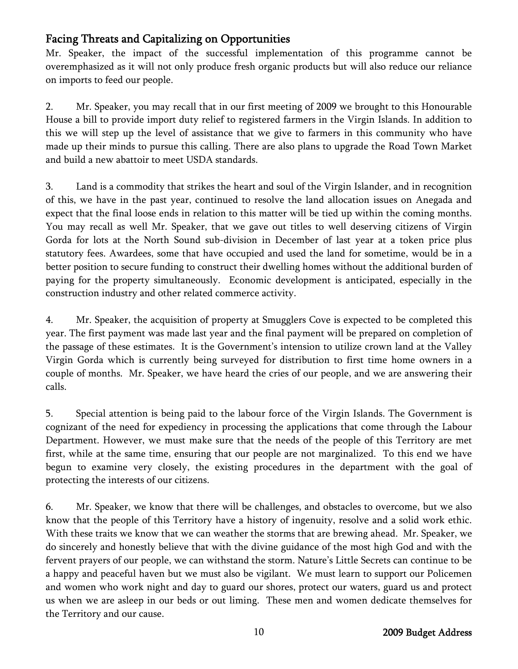Mr. Speaker, the impact of the successful implementation of this programme cannot be overemphasized as it will not only produce fresh organic products but will also reduce our reliance on imports to feed our people.

2. Mr. Speaker, you may recall that in our first meeting of 2009 we brought to this Honourable House a bill to provide import duty relief to registered farmers in the Virgin Islands. In addition to this we will step up the level of assistance that we give to farmers in this community who have made up their minds to pursue this calling. There are also plans to upgrade the Road Town Market and build a new abattoir to meet USDA standards.

3. Land is a commodity that strikes the heart and soul of the Virgin Islander, and in recognition of this, we have in the past year, continued to resolve the land allocation issues on Anegada and expect that the final loose ends in relation to this matter will be tied up within the coming months. You may recall as well Mr. Speaker, that we gave out titles to well deserving citizens of Virgin Gorda for lots at the North Sound sub-division in December of last year at a token price plus statutory fees. Awardees, some that have occupied and used the land for sometime, would be in a better position to secure funding to construct their dwelling homes without the additional burden of paying for the property simultaneously. Economic development is anticipated, especially in the construction industry and other related commerce activity.

4. Mr. Speaker, the acquisition of property at Smugglers Cove is expected to be completed this year. The first payment was made last year and the final payment will be prepared on completion of the passage of these estimates. It is the Government's intension to utilize crown land at the Valley Virgin Gorda which is currently being surveyed for distribution to first time home owners in a couple of months. Mr. Speaker, we have heard the cries of our people, and we are answering their calls.

5. Special attention is being paid to the labour force of the Virgin Islands. The Government is cognizant of the need for expediency in processing the applications that come through the Labour Department. However, we must make sure that the needs of the people of this Territory are met first, while at the same time, ensuring that our people are not marginalized. To this end we have begun to examine very closely, the existing procedures in the department with the goal of protecting the interests of our citizens.

6. Mr. Speaker, we know that there will be challenges, and obstacles to overcome, but we also know that the people of this Territory have a history of ingenuity, resolve and a solid work ethic. With these traits we know that we can weather the storms that are brewing ahead. Mr. Speaker, we do sincerely and honestly believe that with the divine guidance of the most high God and with the fervent prayers of our people, we can withstand the storm. Nature's Little Secrets can continue to be a happy and peaceful haven but we must also be vigilant. We must learn to support our Policemen and women who work night and day to guard our shores, protect our waters, guard us and protect us when we are asleep in our beds or out liming. These men and women dedicate themselves for the Territory and our cause.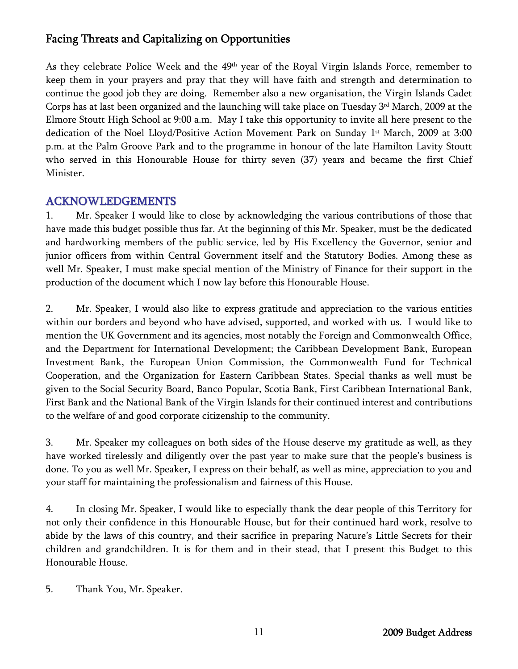As they celebrate Police Week and the 49th year of the Royal Virgin Islands Force, remember to keep them in your prayers and pray that they will have faith and strength and determination to continue the good job they are doing. Remember also a new organisation, the Virgin Islands Cadet Corps has at last been organized and the launching will take place on Tuesday 3rd March, 2009 at the Elmore Stoutt High School at 9:00 a.m. May I take this opportunity to invite all here present to the dedication of the Noel Lloyd/Positive Action Movement Park on Sunday 1<sup>st</sup> March, 2009 at 3:00 p.m. at the Palm Groove Park and to the programme in honour of the late Hamilton Lavity Stoutt who served in this Honourable House for thirty seven (37) years and became the first Chief Minister.

### ACKNOWLEDGEMENTS

1. Mr. Speaker I would like to close by acknowledging the various contributions of those that have made this budget possible thus far. At the beginning of this Mr. Speaker, must be the dedicated and hardworking members of the public service, led by His Excellency the Governor, senior and junior officers from within Central Government itself and the Statutory Bodies. Among these as well Mr. Speaker, I must make special mention of the Ministry of Finance for their support in the production of the document which I now lay before this Honourable House.

2. Mr. Speaker, I would also like to express gratitude and appreciation to the various entities within our borders and beyond who have advised, supported, and worked with us. I would like to mention the UK Government and its agencies, most notably the Foreign and Commonwealth Office, and the Department for International Development; the Caribbean Development Bank, European Investment Bank, the European Union Commission, the Commonwealth Fund for Technical Cooperation, and the Organization for Eastern Caribbean States. Special thanks as well must be given to the Social Security Board, Banco Popular, Scotia Bank, First Caribbean International Bank, First Bank and the National Bank of the Virgin Islands for their continued interest and contributions to the welfare of and good corporate citizenship to the community.

3. Mr. Speaker my colleagues on both sides of the House deserve my gratitude as well, as they have worked tirelessly and diligently over the past year to make sure that the people's business is done. To you as well Mr. Speaker, I express on their behalf, as well as mine, appreciation to you and your staff for maintaining the professionalism and fairness of this House.

4. In closing Mr. Speaker, I would like to especially thank the dear people of this Territory for not only their confidence in this Honourable House, but for their continued hard work, resolve to abide by the laws of this country, and their sacrifice in preparing Nature's Little Secrets for their children and grandchildren. It is for them and in their stead, that I present this Budget to this Honourable House.

5. Thank You, Mr. Speaker.